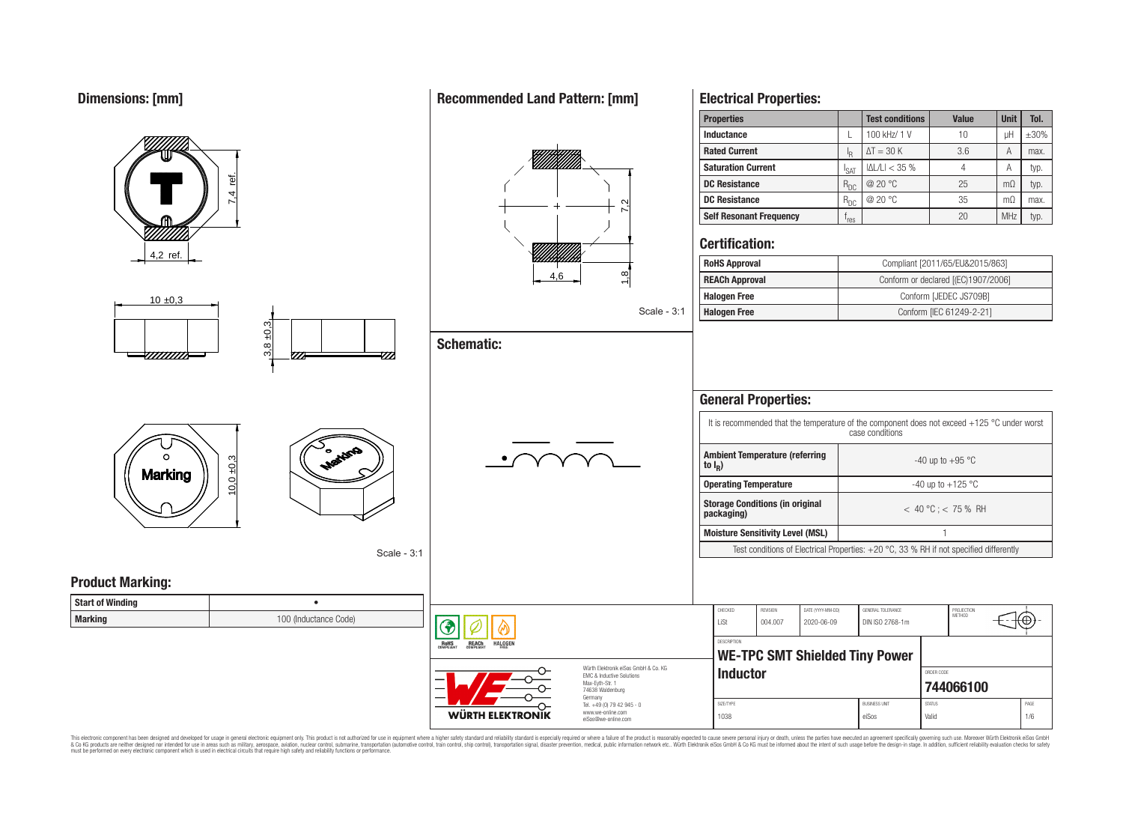# **Dimensions: [mm]**



**Recommended Land Pattern: [mm]**

**Electrical Properties:**

This electronic component has been designed and developed for usage in general electronic equipment only. This product is not authorized for use in equipment where a higher safety standard and reliability standard is espec & Ook product a label and the membed of the seasuch as marked and as which such a membed and the such assume that income in the seasuch and the simulation and the such assume that include to the such a membed and the such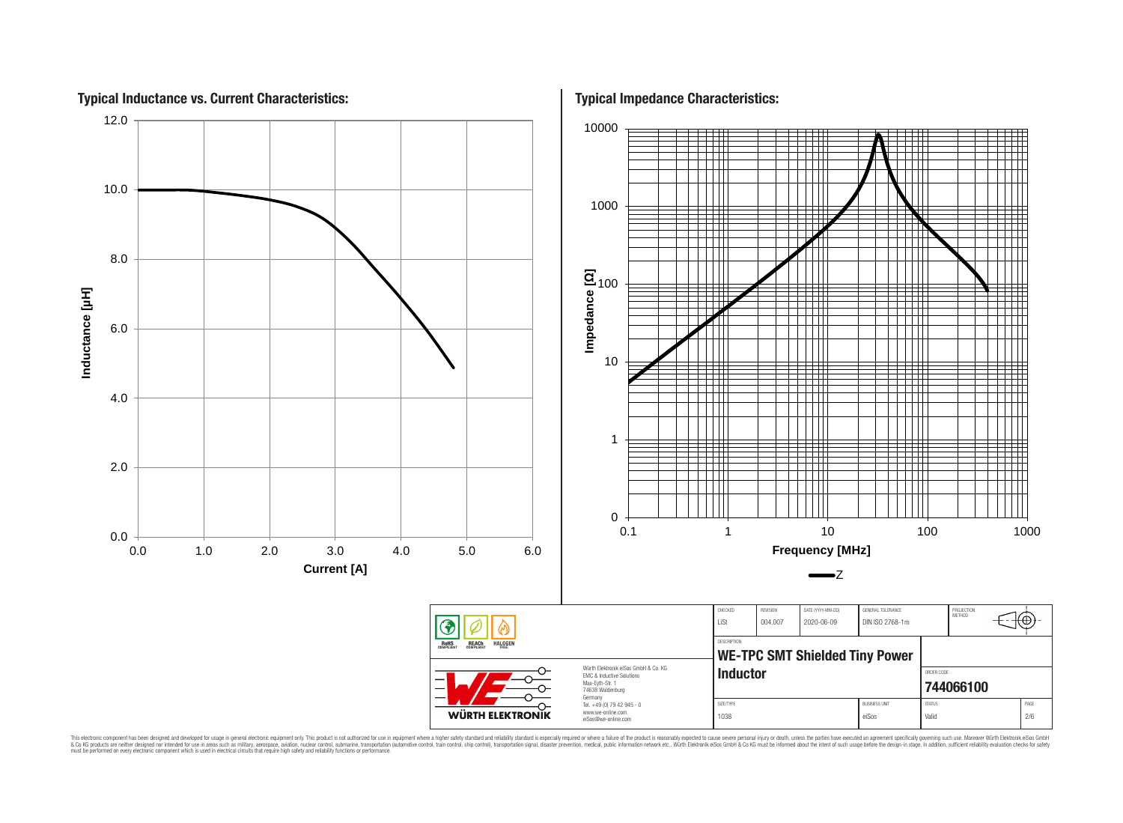

This electronic component has been designed and developed for usage in general electronic equipment only. This product is not authorized for use in equipment where a higher safely standard and reliability standard si espec & Ook product a label and the membed of the seasuch as marked and as which such a membed and the such assume that income in the seasuch and the simulation and the such assume that include to the such a membed and the such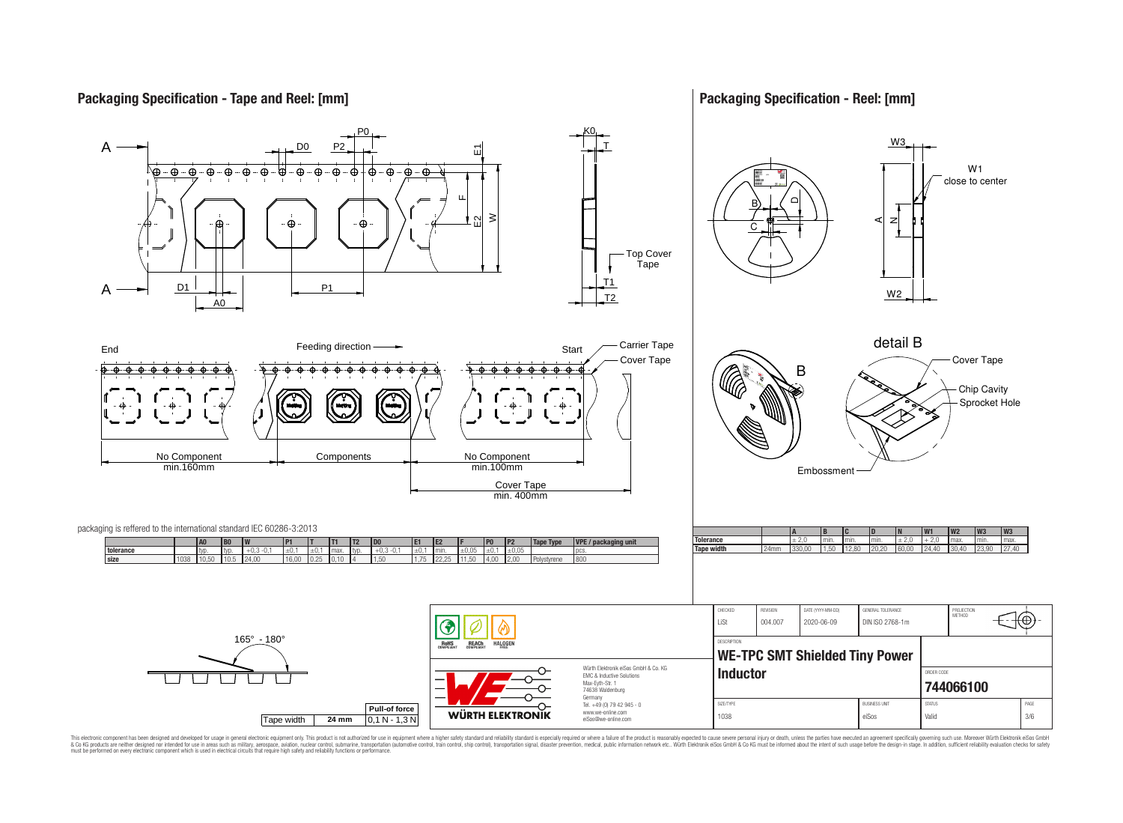## **Packaging Specification - Tape and Reel: [mm]**

**Packaging Specification - Reel: [mm]**



This electronic component has been designed and developed for usage in general electronic equipment only. This product is not authorized for use in equipment where a higher safely standard and reliability standard si espec & Ook product a label and the membed of the seasuch as marked and as which such a membed and the such assume that income in the seasuch and the simulation and the such assume that include to the such a membed and the such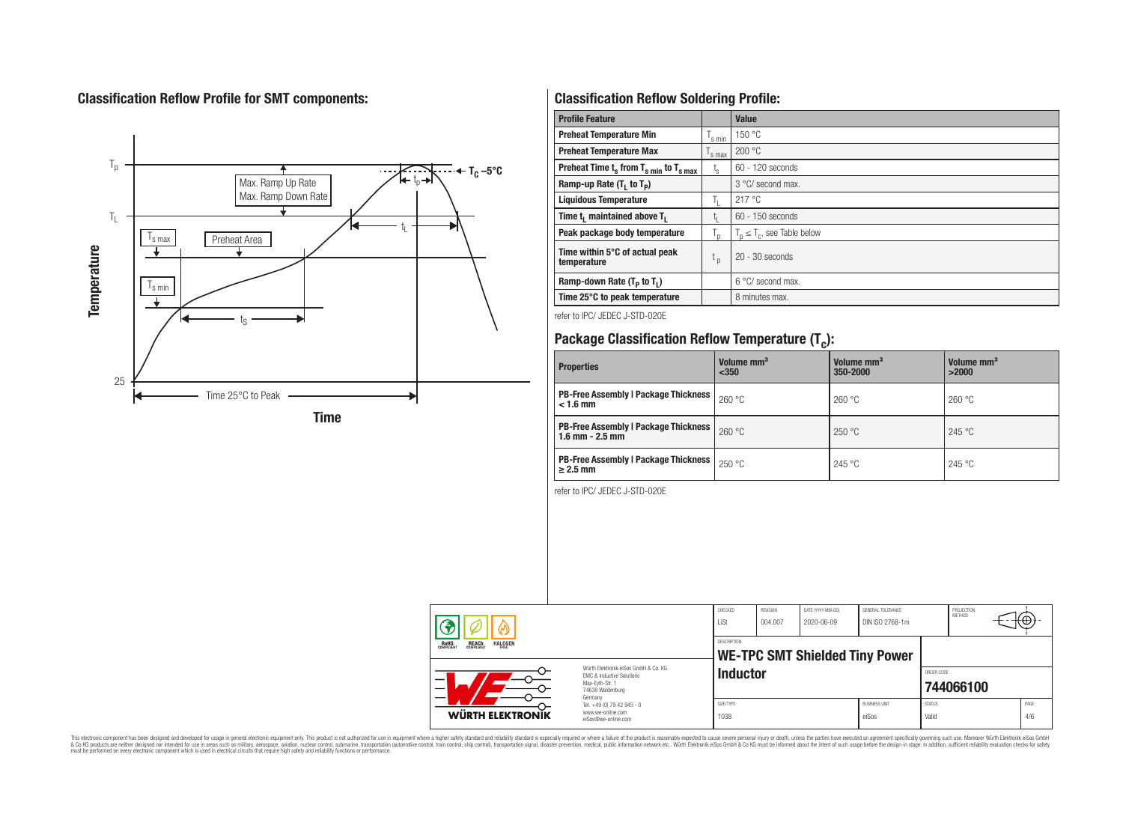# **Classification Reflow Profile for SMT components:**



# **Classification Reflow Soldering Profile:**

| <b>Profile Feature</b>                              |                    | <b>Value</b>                     |
|-----------------------------------------------------|--------------------|----------------------------------|
| <b>Preheat Temperature Min</b>                      | 's min             | 150 °C                           |
| <b>Preheat Temperature Max</b>                      | <sup>I</sup> s max | 200 °C                           |
| Preheat Time $t_s$ from $T_{s,min}$ to $T_{s,max}$  | $t_{s}$            | $60 - 120$ seconds               |
| Ramp-up Rate $(T_1$ to $T_p$ )                      |                    | 3 °C/ second max.                |
| <b>Liquidous Temperature</b>                        | Ъ.                 | 217 °C                           |
| Time t <sub>1</sub> maintained above T <sub>1</sub> | Ţ.                 | 60 - 150 seconds                 |
| Peak package body temperature                       | $T_{p}$            | $T_n \leq T_c$ , see Table below |
| Time within 5°C of actual peak<br>temperature       | $t_{p}$            | $20 - 30$ seconds                |
| Ramp-down Rate $(T_P$ to $T_I$ )                    |                    | $6^{\circ}$ C/ second max.       |
| Time 25°C to peak temperature                       |                    | 8 minutes max.                   |

refer to IPC/ JEDEC J-STD-020E

# **Package Classification Reflow Temperature (T<sup>c</sup> ):**

| <b>Properties</b>                                                    | Volume mm <sup>3</sup><br>< 350 | Volume mm <sup>3</sup><br>350-2000 | Volume mm <sup>3</sup><br>>2000 |  |  |
|----------------------------------------------------------------------|---------------------------------|------------------------------------|---------------------------------|--|--|
| <b>PB-Free Assembly   Package Thickness  </b><br>$< 1.6$ mm          | 260 °C                          | 260 °C                             | 260 °C                          |  |  |
| <b>PB-Free Assembly   Package Thickness  </b><br>$1.6$ mm $- 2.5$ mm | 260 °C                          | 250 °C                             | 245 °C                          |  |  |
| <b>PB-Free Assembly   Package Thickness  </b><br>$\geq$ 2.5 mm       | 250 °C                          | 245 °C                             | 245 °C                          |  |  |

refer to IPC/ JEDEC J-STD-020E

| <b>REACH</b><br>COMPLIANT<br><b>HALOGEN</b><br><b>ROHS</b><br>COMPLIANT<br>FRFF<br>Würth Flektronik eiSos GmbH & Co. KG<br><b>EMC &amp; Inductive Solutions</b><br>-<br>Max-Evth-Str. 1<br>—<br>74638 Waldenburg |                                                                                   | CHECKED<br>LiSt    | REVISION<br>DATE (YYYY-MM-DD)<br>004.007<br>2020-06-09 |  | GENERAL TOLERANCE<br>DIN ISO 2768-1m |                        | PROJECTION<br>METHOD |                         | ιτΨ         |
|------------------------------------------------------------------------------------------------------------------------------------------------------------------------------------------------------------------|-----------------------------------------------------------------------------------|--------------------|--------------------------------------------------------|--|--------------------------------------|------------------------|----------------------|-------------------------|-------------|
|                                                                                                                                                                                                                  |                                                                                   | <b>DESCRIPTION</b> | <b>WE-TPC SMT Shielded Tiny Power</b>                  |  |                                      |                        |                      |                         |             |
|                                                                                                                                                                                                                  |                                                                                   |                    | <b>Inductor</b>                                        |  |                                      |                        |                      | ORDER CODE<br>744066100 |             |
| WÜRTH ELEKTRONIK                                                                                                                                                                                                 | Germany<br>Tel. +49 (0) 79 42 945 - 0<br>www.we-online.com<br>eiSos@we-online.com | SIZE/TYPE<br>1038  |                                                        |  | <b>BUSINESS UNIT</b><br>eiSos        | <b>STATUS</b><br>Valid |                      |                         | PAGE<br>4/6 |

This electronic component has been designed and developed for usage in general electronic equipment only. This product is not authorized for subserved requipment where a higher selection equipment where a higher selection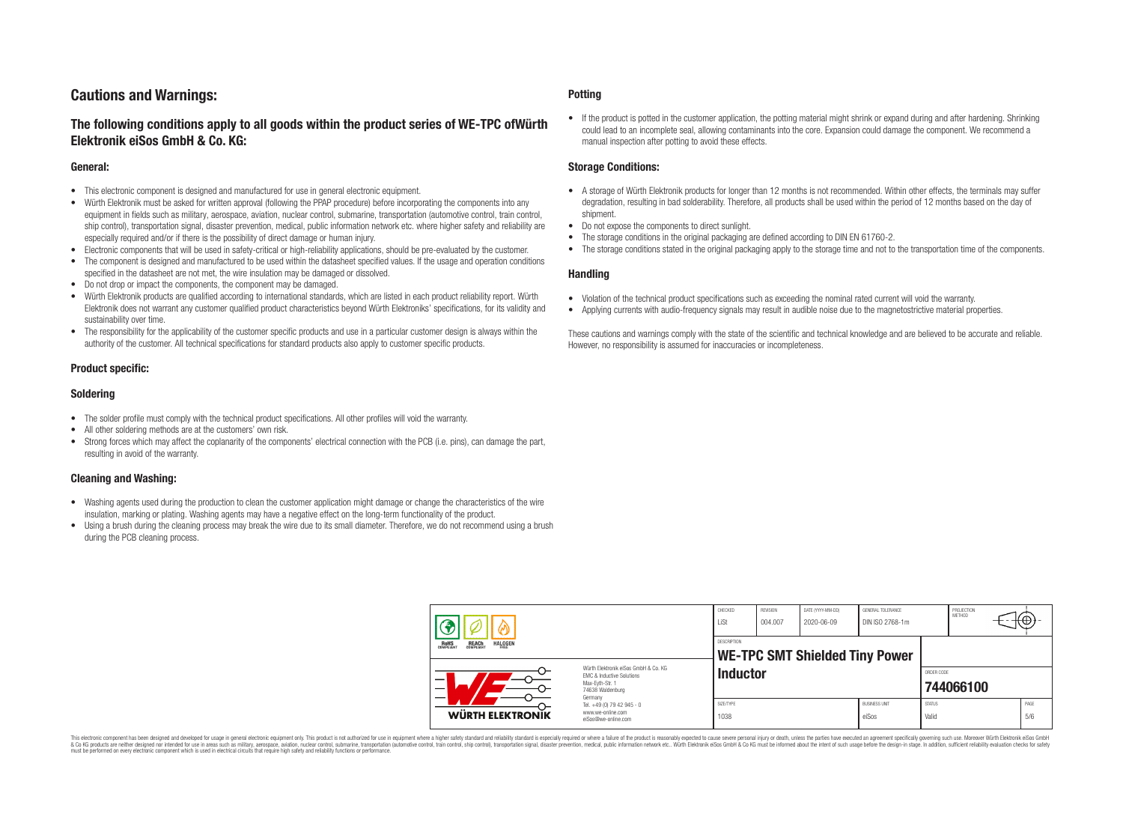# **Cautions and Warnings:**

## **The following conditions apply to all goods within the product series of WE-TPC ofWürth Elektronik eiSos GmbH & Co. KG:**

#### **General:**

- This electronic component is designed and manufactured for use in general electronic equipment.
- Würth Elektronik must be asked for written approval (following the PPAP procedure) before incorporating the components into any equipment in fields such as military, aerospace, aviation, nuclear control, submarine, transportation (automotive control, train control, ship control), transportation signal, disaster prevention, medical, public information network etc. where higher safety and reliability are especially required and/or if there is the possibility of direct damage or human injury.
- Electronic components that will be used in safety-critical or high-reliability applications, should be pre-evaluated by the customer.
- The component is designed and manufactured to be used within the datasheet specified values. If the usage and operation conditions specified in the datasheet are not met, the wire insulation may be damaged or dissolved.
- Do not drop or impact the components, the component may be damaged.
- Würth Elektronik products are qualified according to international standards, which are listed in each product reliability report. Würth Elektronik does not warrant any customer qualified product characteristics beyond Würth Elektroniks' specifications, for its validity and sustainability over time.
- The responsibility for the applicability of the customer specific products and use in a particular customer design is always within the authority of the customer. All technical specifications for standard products also apply to customer specific products.

## **Product specific:**

## **Soldering**

- The solder profile must comply with the technical product specifications. All other profiles will void the warranty.
- All other soldering methods are at the customers' own risk.
- Strong forces which may affect the coplanarity of the components' electrical connection with the PCB (i.e. pins), can damage the part, resulting in avoid of the warranty.

## **Cleaning and Washing:**

- Washing agents used during the production to clean the customer application might damage or change the characteristics of the wire insulation, marking or plating. Washing agents may have a negative effect on the long-term functionality of the product.
- Using a brush during the cleaning process may break the wire due to its small diameter. Therefore, we do not recommend using a brush during the PCB cleaning process.

#### **Potting**

• If the product is potted in the customer application, the potting material might shrink or expand during and after hardening. Shrinking could lead to an incomplete seal, allowing contaminants into the core. Expansion could damage the component. We recommend a manual inspection after potting to avoid these effects.

#### **Storage Conditions:**

- A storage of Würth Elektronik products for longer than 12 months is not recommended. Within other effects, the terminals may suffer degradation, resulting in bad solderability. Therefore, all products shall be used within the period of 12 months based on the day of shipment.
- Do not expose the components to direct sunlight.
- The storage conditions in the original packaging are defined according to DIN EN 61760-2.
- The storage conditions stated in the original packaging apply to the storage time and not to the transportation time of the components.

#### **Handling**

- Violation of the technical product specifications such as exceeding the nominal rated current will void the warranty.
- Applying currents with audio-frequency signals may result in audible noise due to the magnetostrictive material properties.

These cautions and warnings comply with the state of the scientific and technical knowledge and are believed to be accurate and reliable. However, no responsibility is assumed for inaccuracies or incompleteness.

|                                                                         |                                                                                                                     | CHECKED<br>LiSt                                      | REVISION<br>004.007 | DATE (YYYY-MM-DD)<br>2020-06-09 | GENERAL TOLERANCE<br>DIN ISO 2768-1m |                        | PROJECTION<br>METHOD    |  | ťΦ          |
|-------------------------------------------------------------------------|---------------------------------------------------------------------------------------------------------------------|------------------------------------------------------|---------------------|---------------------------------|--------------------------------------|------------------------|-------------------------|--|-------------|
| <b>HALOGEN</b><br><b>ROHS</b><br>COMPLIANT<br><b>REACH</b><br>COMPLIANT |                                                                                                                     | DESCRIPTION<br><b>WE-TPC SMT Shielded Tiny Power</b> |                     |                                 |                                      |                        |                         |  |             |
|                                                                         | Würth Elektronik eiSos GmbH & Co. KG<br>EMC & Inductive Solutions<br>Max-Eyth-Str. 1<br>74638 Waldenburg<br>Germany | <b>Inductor</b>                                      |                     |                                 |                                      |                        | ORDER CODE<br>744066100 |  |             |
| WÜRTH ELEKTRONIK                                                        | Tel. +49 (0) 79 42 945 - 0<br>www.we-online.com<br>eiSos@we-online.com                                              | SIZE/TYPE<br>1038                                    |                     |                                 | <b>BUSINESS UNIT</b><br>eiSos        | <b>STATUS</b><br>Valid |                         |  | PAGE<br>5/6 |

This electronic component has been designed and developed for usage in general electronic equipment only. This product is not authorized for use in equipment where a higher safety standard and reliability standard si espec & Ook product a label and the membed of the seasuch as marked and as which such a membed and the such assume that income in the seasuch and the simulation and the such assume that include to the such a membed and the such